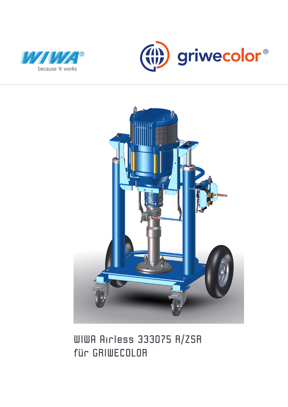





# WIWA Airless 333075 R/ZSR für GRIWECOLOR